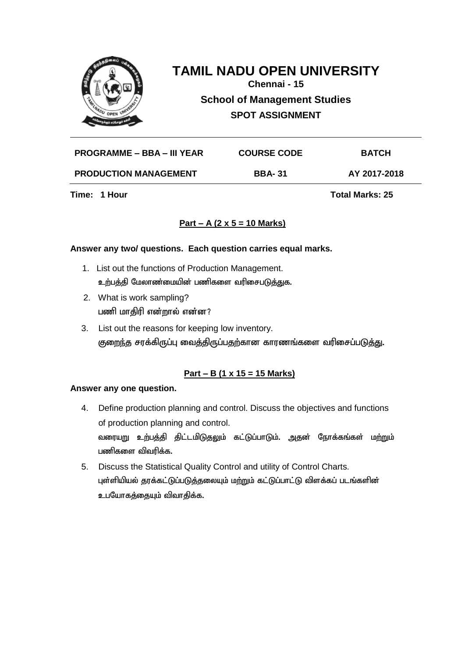

**Chennai - 15**

**School of Management Studies SPOT ASSIGNMENT**

**PROGRAMME – BBA – III YEAR COURSE CODE BATCH PRODUCTION MANAGEMENT BBA- 31 AY 2017-2018**

**Time: 1 Hour Total Marks: 25** 

# **Part – A (2 x 5 = 10 Marks)**

#### **Answer any two/ questions. Each question carries equal marks.**

- 1. List out the functions of Production Management. உற்பத்தி மேலாண்மையின் பணிகளை வரிசைபடுத்துக.
- 2. What is work sampling? பணி மாதிரி என்றால் என்ன?
- 3. List out the reasons for keeping low inventory. குறைந்த சரக்கிருப்பு வைத்திருப்பதற்கான காரணங்களை வரிசைப்படுத்து.

# **Part – B (1 x 15 = 15 Marks)**

#### **Answer any one question.**

- 4. Define production planning and control. Discuss the objectives and functions of production planning and control. வரையறு உற்பத்தி திட்டமிடுதலும் கட்டுப்பாடும். அதன் நோக்கங்கள் ம<u>ற்று</u>ம் பணிகளை விவரிக்க.
- 5. Discuss the Statistical Quality Control and utility of Control Charts. புள்ளியியல் தரக்கட்டுப்படுத்தலையும் மற்றும் கட்டுப்பாட்டு விளக்கப் படங்களின் உபயோகத்தையும் விவாதிக்க.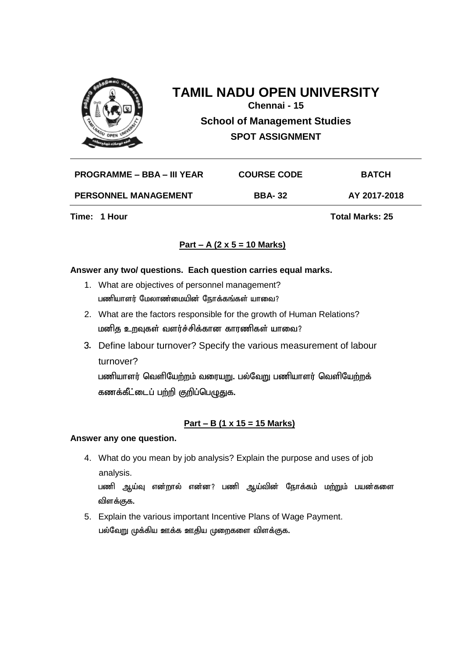

**Chennai - 15**

**School of Management Studies SPOT ASSIGNMENT**

| PROGRAMME – BBA – III YEAR  | <b>COURSE CODE</b> | <b>BATCH</b> |
|-----------------------------|--------------------|--------------|
| <b>PERSONNEL MANAGEMENT</b> | <b>BBA-32</b>      | AY 2017-2018 |

**Time: 1 Hour Total Marks: 25** 

# **Part – A (2 x 5 = 10 Marks)**

#### **Answer any two/ questions. Each question carries equal marks.**

- 1. What are objectives of personnel management? பணியாளர் மேலாண்மையின் நோக்கங்கள் யாவை?
- 2. What are the factors responsible for the growth of Human Relations? மனித உறவுகள் வளர்ச்சிக்கான காரணிகள் யாவை?
- 3. Define labour turnover? Specify the various measurement of labour turnover?

பணியாளர் வெளியேற்றம் வரையறு. பல்வேறு பணியாளர் வெளியேற்றக் கணக்கீட்டைப் பற்றி குறிப்பெழுதுக.

### **Part – B (1 x 15 = 15 Marks)**

#### **Answer any one question.**

4. What do you mean by job analysis? Explain the purpose and uses of job analysis.

பணி ஆய்வு என்றால் என்ன? பணி ஆய்வின் நோக்கம் மற்றும் பயன்களை விளக்குக.

5. Explain the various important Incentive Plans of Wage Payment. பல்வேறு முக்கிய ஊக்க ஊதிய முறைகளை விளக்குக.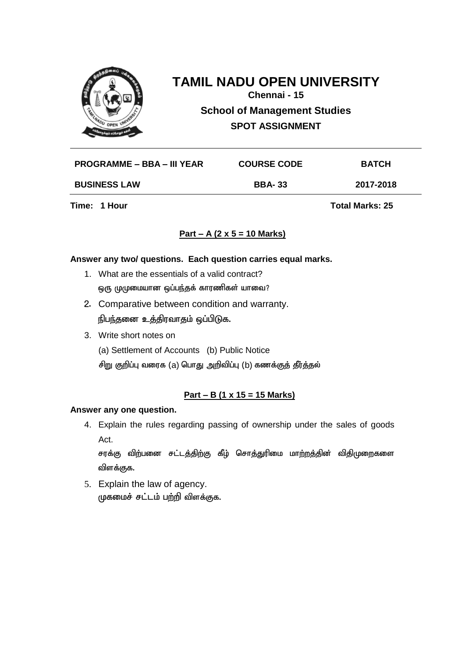

**Chennai - 15**

**School of Management Studies SPOT ASSIGNMENT**

| PROGRAMME – BBA – III YEAR | <b>COURSE CODE</b> | <b>BATCH</b> |
|----------------------------|--------------------|--------------|
| <b>BUSINESS LAW</b>        | <b>BBA-33</b>      | 2017-2018    |
|                            |                    |              |

**Time: 1 Hour Total Marks: 25** 

### **Part – A (2 x 5 = 10 Marks)**

#### **Answer any two/ questions. Each question carries equal marks.**

- 1. What are the essentials of a valid contract? ஒரு முமுமையான ஒப்பந்தக் காரணிகள் யாவை?
- 2. Comparative between condition and warranty. நிபந்தனை உத்திரவாதம் ஒப்பிடுக.
- 3. Write short notes on

(a) Settlement of Accounts (b) Public Notice

சிறு குறிப்பு வரைக (a) பொது அறிவிப்பு (b) கணக்குத் தீர்த்தல்

### **Part – B (1 x 15 = 15 Marks)**

#### **Answer any one question.**

4. Explain the rules regarding passing of ownership under the sales of goods Act.

சரக்கு விற்பனை சட்டத்திற்கு கீழ் சொத்துரிமை மாற்றத்தின் விதிமுறைகளை விளக்குக.

5. Explain the law of agency. முகமைச் சட்டம் பற்றி விளக்குக.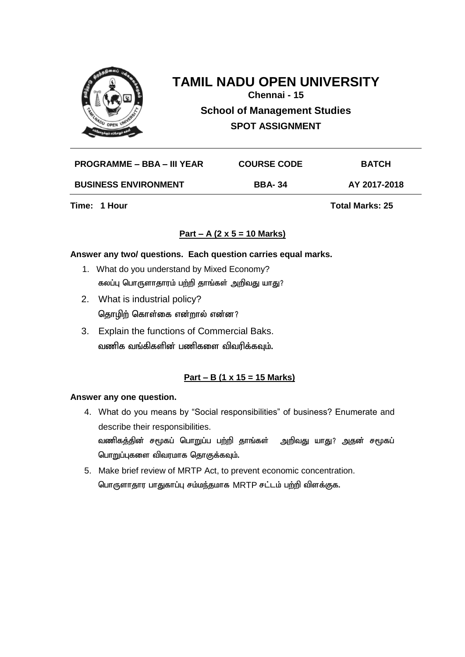

**Chennai - 15**

**School of Management Studies SPOT ASSIGNMENT**

| <b>PROGRAMME – BBA – III YEAR</b> | <b>COURSE CODE</b> | <b>BATCH</b> |
|-----------------------------------|--------------------|--------------|
| <b>BUSINESS ENVIRONMENT</b>       | <b>BBA-34</b>      | AY 2017-2018 |

**Time: 1 Hour Total Marks: 25** 

#### **Part – A (2 x 5 = 10 Marks)**

#### **Answer any two/ questions. Each question carries equal marks.**

- 1. What do you understand by Mixed Economy? கலப்பு பொருளாதாரம் பற்றி தாங்கள் அறிவது யாது?
- 2. What is industrial policy? தொழிற் கொள்கை என்றால் என்ன?
- 3. Explain the functions of Commercial Baks. வணிக வங்கிகளின் பணிகளை விவரிக்கவும்.

### **Part – B (1 x 15 = 15 Marks)**

#### **Answer any one question.**

- 4. What do you means by "Social responsibilities" of business? Enumerate and describe their responsibilities. வணிகத்தின் சமூகப் பொறுப்ப பற்றி தாங்கள் அறிவது யாது? அதன் சமூகப் பொறுப்புகளை விவரமாக தொகுக்கவும்.
- 5. Make brief review of MRTP Act, to prevent economic concentration. பொருளாதார பாதுகாப்பு சம்மந்தமாக MRTP சட்டம் பற்றி விளக்குக.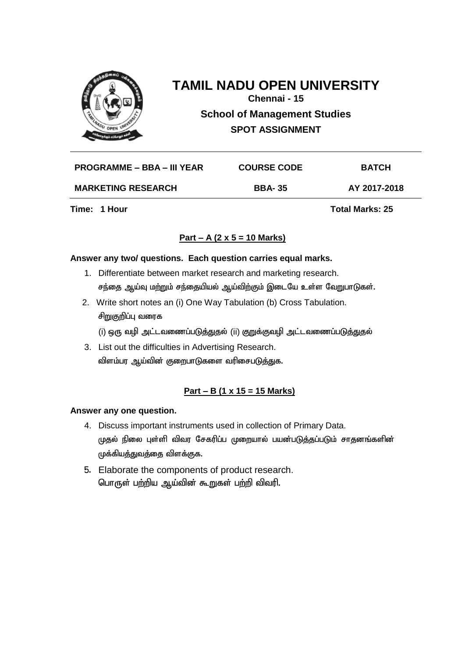

# **TAMIL NADU OPEN UNIVERSITY Chennai - 15 School of Management Studies SPOT ASSIGNMENT**

|                                                            | <b>BATCH</b> |
|------------------------------------------------------------|--------------|
| <b>MARKETING RESEARCH</b><br><b>BBA-35</b><br>AY 2017-2018 |              |

**Time: 1 Hour Total Marks: 25** 

# **Part – A (2 x 5 = 10 Marks)**

#### **Answer any two/ questions. Each question carries equal marks.**

- 1. Differentiate between market research and marketing research. சந்தை ஆய்வு மற்றும் சந்தையியல் ஆய்விற்கும் இடையே உள்ள வேறுபாடுகள்.
- 2. Write short notes an (i) One Way Tabulation (b) Cross Tabulation. சிறுகுறிப்பு வரைக (i) ஒரு வழி அட்டவணைப்படுத்துதல் (ii) குறுக்குவழி அட்டவணைப்படுத்துதல்
- 3. List out the difficulties in Advertising Research. விளம்பர ஆய்வின் குறைபாடுகளை வரிசைபடுத்துக.

# **Part – B (1 x 15 = 15 Marks)**

#### **Answer any one question.**

- 4. Discuss important instruments used in collection of Primary Data. முதல் நிலை புள்ளி விவர சேகரிப்ப முறையால் பயன்படுத்தப்படும் சாதனங்களின் முக்கியத்துவத்தை விளக்குக.
- 5. Elaborate the components of product research. பொருள் பற்றிய ஆய்வின் கூறுகள் பற்றி விவரி.